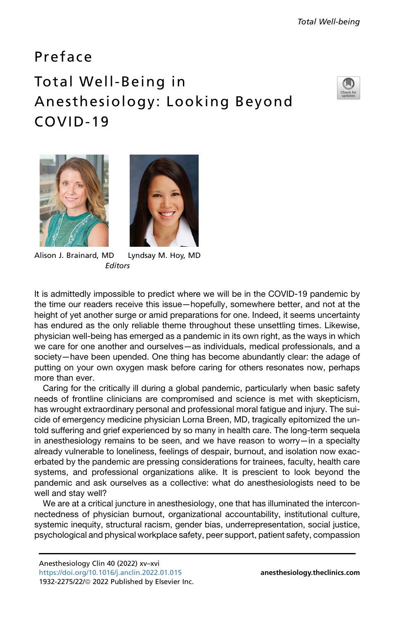## Preface Total Well-Being in Anesthesiology: Looking Beyond COVID-19







Alison J. Brainard, MD Lyndsay M. Hoy, MD **Editors** 

It is admittedly impossible to predict where we will be in the COVID-19 pandemic by the time our readers receive this issue—hopefully, somewhere better, and not at the height of yet another surge or amid preparations for one. Indeed, it seems uncertainty has endured as the only reliable theme throughout these unsettling times. Likewise, physician well-being has emerged as a pandemic in its own right, as the ways in which we care for one another and ourselves—as individuals, medical professionals, and a society—have been upended. One thing has become abundantly clear: the adage of putting on your own oxygen mask before caring for others resonates now, perhaps more than ever.

Caring for the critically ill during a global pandemic, particularly when basic safety needs of frontline clinicians are compromised and science is met with skepticism, has wrought extraordinary personal and professional moral fatigue and injury. The suicide of emergency medicine physician Lorna Breen, MD, tragically epitomized the untold suffering and grief experienced by so many in health care. The long-term sequela in anesthesiology remains to be seen, and we have reason to worry—in a specialty already vulnerable to loneliness, feelings of despair, burnout, and isolation now exacerbated by the pandemic are pressing considerations for trainees, faculty, health care systems, and professional organizations alike. It is prescient to look beyond the pandemic and ask ourselves as a collective: what do anesthesiologists need to be well and stay well?

We are at a critical juncture in anesthesiology, one that has illuminated the interconnectedness of physician burnout, organizational accountability, institutional culture, systemic inequity, structural racism, gender bias, underrepresentation, social justice, psychological and physical workplace safety, peer support, patient safety, compassion